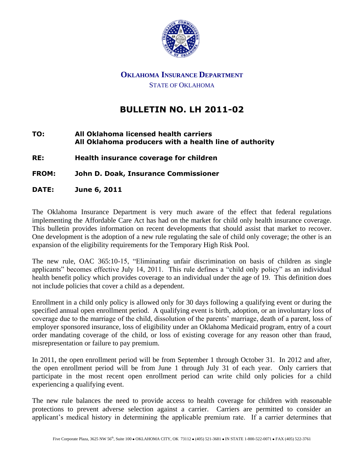

## **OKLAHOMA INSURANCE DEPARTMENT** STATE OF OKLAHOMA

# **BULLETIN NO. LH 2011-02**

#### **TO: All Oklahoma licensed health carriers All Oklahoma producers with a health line of authority**

**RE: Health insurance coverage for children** 

### **FROM: John D. Doak, Insurance Commissioner**

**DATE: June 6, 2011** 

The Oklahoma Insurance Department is very much aware of the effect that federal regulations implementing the Affordable Care Act has had on the market for child only health insurance coverage. This bulletin provides information on recent developments that should assist that market to recover. One development is the adoption of a new rule regulating the sale of child only coverage; the other is an expansion of the eligibility requirements for the Temporary High Risk Pool.

The new rule, OAC 365:10-15, "Eliminating unfair discrimination on basis of children as single applicants" becomes effective July 14, 2011. This rule defines a "child only policy" as an individual health benefit policy which provides coverage to an individual under the age of 19. This definition does not include policies that cover a child as a dependent.

Enrollment in a child only policy is allowed only for 30 days following a qualifying event or during the specified annual open enrollment period. A qualifying event is birth, adoption, or an involuntary loss of coverage due to the marriage of the child, dissolution of the parents' marriage, death of a parent, loss of employer sponsored insurance, loss of eligibility under an Oklahoma Medicaid program, entry of a court order mandating coverage of the child, or loss of existing coverage for any reason other than fraud, misrepresentation or failure to pay premium.

In 2011, the open enrollment period will be from September 1 through October 31. In 2012 and after, the open enrollment period will be from June 1 through July 31 of each year. Only carriers that participate in the most recent open enrollment period can write child only policies for a child experiencing a qualifying event.

The new rule balances the need to provide access to health coverage for children with reasonable protections to prevent adverse selection against a carrier. Carriers are permitted to consider an applicant's medical history in determining the applicable premium rate. If a carrier determines that